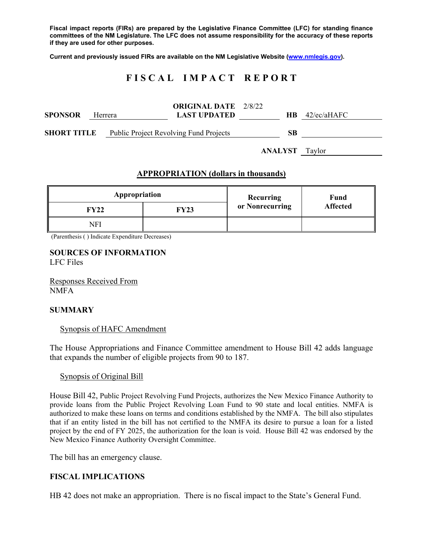**Fiscal impact reports (FIRs) are prepared by the Legislative Finance Committee (LFC) for standing finance committees of the NM Legislature. The LFC does not assume responsibility for the accuracy of these reports if they are used for other purposes.** 

**Current and previously issued FIRs are available on the NM Legislative Website (www.nmlegis.gov).** 

# **F I S C A L I M P A C T R E P O R T**

| <b>SPONSOR</b>     | Herrera | <b>ORIGINAL DATE</b> 2/8/22<br><b>LAST UPDATED</b> |                       | HB. | $42$ /ec/aHAFC |
|--------------------|---------|----------------------------------------------------|-----------------------|-----|----------------|
| <b>SHORT TITLE</b> |         | <b>Public Project Revolving Fund Projects</b>      |                       | SВ  |                |
|                    |         |                                                    | <b>ANALYST</b> Taylor |     |                |

# **APPROPRIATION (dollars in thousands)**

| Appropriation |             | <b>Recurring</b> | Fund<br><b>Affected</b> |  |
|---------------|-------------|------------------|-------------------------|--|
| <b>FY22</b>   | <b>FY23</b> | or Nonrecurring  |                         |  |
| NFI           |             |                  |                         |  |

(Parenthesis ( ) Indicate Expenditure Decreases)

### **SOURCES OF INFORMATION**  LFC Files

Responses Received From NMFA

### **SUMMARY**

#### Synopsis of HAFC Amendment

The House Appropriations and Finance Committee amendment to House Bill 42 adds language that expands the number of eligible projects from 90 to 187.

#### Synopsis of Original Bill

House Bill 42, Public Project Revolving Fund Projects, authorizes the New Mexico Finance Authority to provide loans from the Public Project Revolving Loan Fund to 90 state and local entities. NMFA is authorized to make these loans on terms and conditions established by the NMFA. The bill also stipulates that if an entity listed in the bill has not certified to the NMFA its desire to pursue a loan for a listed project by the end of FY 2025, the authorization for the loan is void. House Bill 42 was endorsed by the New Mexico Finance Authority Oversight Committee.

The bill has an emergency clause.

# **FISCAL IMPLICATIONS**

HB 42 does not make an appropriation. There is no fiscal impact to the State's General Fund.